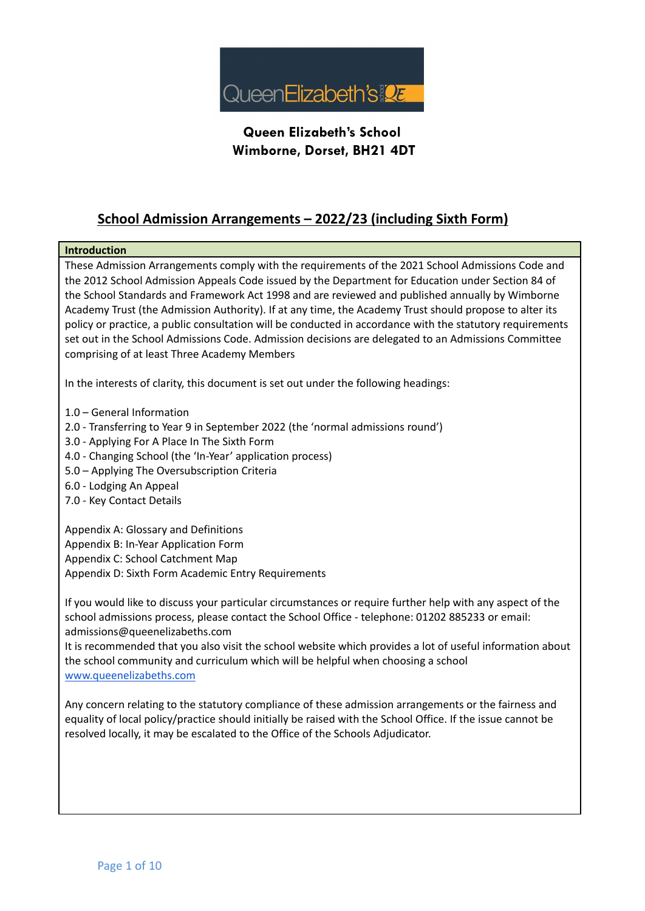

#### **School Admission Arrangements – 2022/23 (including Sixth Form)**

#### **Introduction**

These Admission Arrangements comply with the requirements of the 2021 School Admissions Code and the 2012 School Admission Appeals Code issued by the Department for Education under Section 84 of the School Standards and Framework Act 1998 and are reviewed and published annually by Wimborne Academy Trust (the Admission Authority). If at any time, the Academy Trust should propose to alter its policy or practice, a public consultation will be conducted in accordance with the statutory requirements set out in the School Admissions Code. Admission decisions are delegated to an Admissions Committee comprising of at least Three Academy Members

In the interests of clarity, this document is set out under the following headings:

- 1.0 General Information
- 2.0 Transferring to Year 9 in September 2022 (the 'normal admissions round')
- 3.0 Applying For A Place In The Sixth Form
- 4.0 Changing School (the 'In-Year' application process)
- 5.0 Applying The Oversubscription Criteria
- 6.0 Lodging An Appeal
- 7.0 Key Contact Details

Appendix A: Glossary and Definitions Appendix B: In-Year Application Form Appendix C: School Catchment Map Appendix D: Sixth Form Academic Entry Requirements

If you would like to discuss your particular circumstances or require further help with any aspect of the school admissions process, please contact the School Office - telephone: 01202 885233 or email: admissions@queenelizabeths.com

It is recommended that you also visit the school website which provides a lot of useful information about the school community and curriculum which will be helpful when choosing a school [www.queenelizabeths.com](http://www.queenelizabeths.com)

Any concern relating to the statutory compliance of these admission arrangements or the fairness and equality of local policy/practice should initially be raised with the School Office. If the issue cannot be resolved locally, it may be escalated to the Office of the Schools Adjudicator.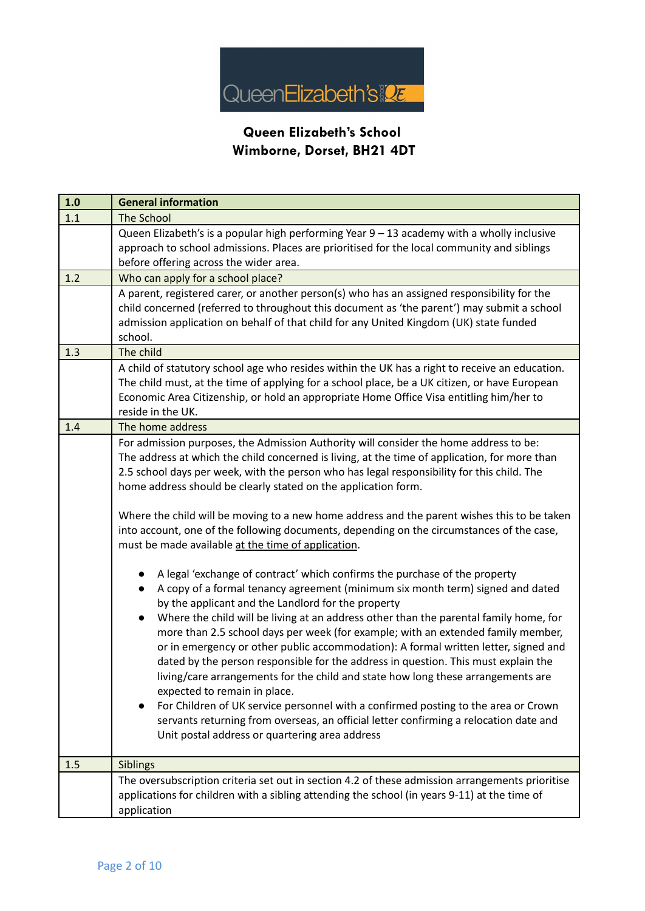

| 1.0 | <b>General information</b>                                                                                                                                                                                                                                                                                                                                                                                                                                                                                                                                                                                                                                                                                                                                                                                                                                                                                                                                                                                                                                                                                                                                                                                                                                                                                                                                                                                                                                                                                                                    |  |  |  |
|-----|-----------------------------------------------------------------------------------------------------------------------------------------------------------------------------------------------------------------------------------------------------------------------------------------------------------------------------------------------------------------------------------------------------------------------------------------------------------------------------------------------------------------------------------------------------------------------------------------------------------------------------------------------------------------------------------------------------------------------------------------------------------------------------------------------------------------------------------------------------------------------------------------------------------------------------------------------------------------------------------------------------------------------------------------------------------------------------------------------------------------------------------------------------------------------------------------------------------------------------------------------------------------------------------------------------------------------------------------------------------------------------------------------------------------------------------------------------------------------------------------------------------------------------------------------|--|--|--|
| 1.1 | <b>The School</b>                                                                                                                                                                                                                                                                                                                                                                                                                                                                                                                                                                                                                                                                                                                                                                                                                                                                                                                                                                                                                                                                                                                                                                                                                                                                                                                                                                                                                                                                                                                             |  |  |  |
|     | Queen Elizabeth's is a popular high performing Year 9 - 13 academy with a wholly inclusive<br>approach to school admissions. Places are prioritised for the local community and siblings<br>before offering across the wider area.                                                                                                                                                                                                                                                                                                                                                                                                                                                                                                                                                                                                                                                                                                                                                                                                                                                                                                                                                                                                                                                                                                                                                                                                                                                                                                            |  |  |  |
| 1.2 | Who can apply for a school place?                                                                                                                                                                                                                                                                                                                                                                                                                                                                                                                                                                                                                                                                                                                                                                                                                                                                                                                                                                                                                                                                                                                                                                                                                                                                                                                                                                                                                                                                                                             |  |  |  |
|     | A parent, registered carer, or another person(s) who has an assigned responsibility for the<br>child concerned (referred to throughout this document as 'the parent') may submit a school<br>admission application on behalf of that child for any United Kingdom (UK) state funded<br>school.                                                                                                                                                                                                                                                                                                                                                                                                                                                                                                                                                                                                                                                                                                                                                                                                                                                                                                                                                                                                                                                                                                                                                                                                                                                |  |  |  |
| 1.3 | The child                                                                                                                                                                                                                                                                                                                                                                                                                                                                                                                                                                                                                                                                                                                                                                                                                                                                                                                                                                                                                                                                                                                                                                                                                                                                                                                                                                                                                                                                                                                                     |  |  |  |
|     | A child of statutory school age who resides within the UK has a right to receive an education.<br>The child must, at the time of applying for a school place, be a UK citizen, or have European<br>Economic Area Citizenship, or hold an appropriate Home Office Visa entitling him/her to<br>reside in the UK.                                                                                                                                                                                                                                                                                                                                                                                                                                                                                                                                                                                                                                                                                                                                                                                                                                                                                                                                                                                                                                                                                                                                                                                                                               |  |  |  |
| 1.4 | The home address                                                                                                                                                                                                                                                                                                                                                                                                                                                                                                                                                                                                                                                                                                                                                                                                                                                                                                                                                                                                                                                                                                                                                                                                                                                                                                                                                                                                                                                                                                                              |  |  |  |
|     | For admission purposes, the Admission Authority will consider the home address to be:<br>The address at which the child concerned is living, at the time of application, for more than<br>2.5 school days per week, with the person who has legal responsibility for this child. The<br>home address should be clearly stated on the application form.<br>Where the child will be moving to a new home address and the parent wishes this to be taken<br>into account, one of the following documents, depending on the circumstances of the case,<br>must be made available at the time of application.<br>A legal 'exchange of contract' which confirms the purchase of the property<br>A copy of a formal tenancy agreement (minimum six month term) signed and dated<br>by the applicant and the Landlord for the property<br>Where the child will be living at an address other than the parental family home, for<br>more than 2.5 school days per week (for example; with an extended family member,<br>or in emergency or other public accommodation): A formal written letter, signed and<br>dated by the person responsible for the address in question. This must explain the<br>living/care arrangements for the child and state how long these arrangements are<br>expected to remain in place.<br>For Children of UK service personnel with a confirmed posting to the area or Crown<br>servants returning from overseas, an official letter confirming a relocation date and<br>Unit postal address or quartering area address |  |  |  |
| 1.5 | Siblings                                                                                                                                                                                                                                                                                                                                                                                                                                                                                                                                                                                                                                                                                                                                                                                                                                                                                                                                                                                                                                                                                                                                                                                                                                                                                                                                                                                                                                                                                                                                      |  |  |  |
|     | The oversubscription criteria set out in section 4.2 of these admission arrangements prioritise<br>applications for children with a sibling attending the school (in years 9-11) at the time of<br>application                                                                                                                                                                                                                                                                                                                                                                                                                                                                                                                                                                                                                                                                                                                                                                                                                                                                                                                                                                                                                                                                                                                                                                                                                                                                                                                                |  |  |  |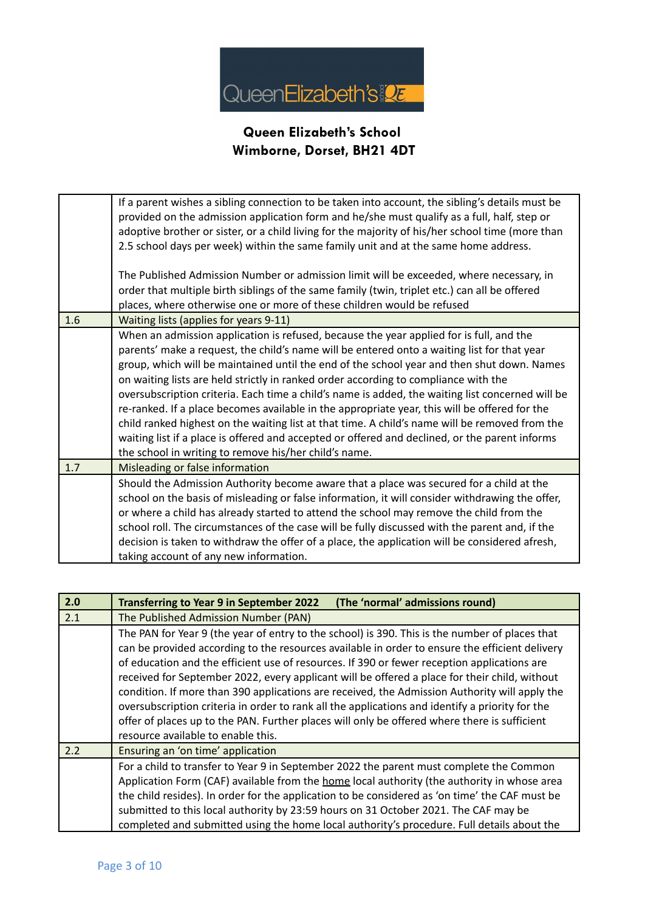

|     | If a parent wishes a sibling connection to be taken into account, the sibling's details must be<br>provided on the admission application form and he/she must qualify as a full, half, step or<br>adoptive brother or sister, or a child living for the majority of his/her school time (more than<br>2.5 school days per week) within the same family unit and at the same home address.                                                                                                                                                                                                                                                                                                                                                                                                                                                     |
|-----|-----------------------------------------------------------------------------------------------------------------------------------------------------------------------------------------------------------------------------------------------------------------------------------------------------------------------------------------------------------------------------------------------------------------------------------------------------------------------------------------------------------------------------------------------------------------------------------------------------------------------------------------------------------------------------------------------------------------------------------------------------------------------------------------------------------------------------------------------|
|     | The Published Admission Number or admission limit will be exceeded, where necessary, in<br>order that multiple birth siblings of the same family (twin, triplet etc.) can all be offered<br>places, where otherwise one or more of these children would be refused                                                                                                                                                                                                                                                                                                                                                                                                                                                                                                                                                                            |
| 1.6 | Waiting lists (applies for years 9-11)                                                                                                                                                                                                                                                                                                                                                                                                                                                                                                                                                                                                                                                                                                                                                                                                        |
|     | When an admission application is refused, because the year applied for is full, and the<br>parents' make a request, the child's name will be entered onto a waiting list for that year<br>group, which will be maintained until the end of the school year and then shut down. Names<br>on waiting lists are held strictly in ranked order according to compliance with the<br>oversubscription criteria. Each time a child's name is added, the waiting list concerned will be<br>re-ranked. If a place becomes available in the appropriate year, this will be offered for the<br>child ranked highest on the waiting list at that time. A child's name will be removed from the<br>waiting list if a place is offered and accepted or offered and declined, or the parent informs<br>the school in writing to remove his/her child's name. |
| 1.7 | Misleading or false information                                                                                                                                                                                                                                                                                                                                                                                                                                                                                                                                                                                                                                                                                                                                                                                                               |
|     | Should the Admission Authority become aware that a place was secured for a child at the<br>school on the basis of misleading or false information, it will consider withdrawing the offer,<br>or where a child has already started to attend the school may remove the child from the<br>school roll. The circumstances of the case will be fully discussed with the parent and, if the<br>decision is taken to withdraw the offer of a place, the application will be considered afresh,<br>taking account of any new information.                                                                                                                                                                                                                                                                                                           |

| 2.0 | (The 'normal' admissions round)<br><b>Transferring to Year 9 in September 2022</b>                                                                                                                                                                                                                                                                                                                                                                                                                                                                                                                                                                                                                                                         |  |  |  |
|-----|--------------------------------------------------------------------------------------------------------------------------------------------------------------------------------------------------------------------------------------------------------------------------------------------------------------------------------------------------------------------------------------------------------------------------------------------------------------------------------------------------------------------------------------------------------------------------------------------------------------------------------------------------------------------------------------------------------------------------------------------|--|--|--|
| 2.1 | The Published Admission Number (PAN)                                                                                                                                                                                                                                                                                                                                                                                                                                                                                                                                                                                                                                                                                                       |  |  |  |
|     | The PAN for Year 9 (the year of entry to the school) is 390. This is the number of places that<br>can be provided according to the resources available in order to ensure the efficient delivery<br>of education and the efficient use of resources. If 390 or fewer reception applications are<br>received for September 2022, every applicant will be offered a place for their child, without<br>condition. If more than 390 applications are received, the Admission Authority will apply the<br>oversubscription criteria in order to rank all the applications and identify a priority for the<br>offer of places up to the PAN. Further places will only be offered where there is sufficient<br>resource available to enable this. |  |  |  |
| 2.2 | Ensuring an 'on time' application                                                                                                                                                                                                                                                                                                                                                                                                                                                                                                                                                                                                                                                                                                          |  |  |  |
|     | For a child to transfer to Year 9 in September 2022 the parent must complete the Common<br>Application Form (CAF) available from the home local authority (the authority in whose area<br>the child resides). In order for the application to be considered as 'on time' the CAF must be<br>submitted to this local authority by 23:59 hours on 31 October 2021. The CAF may be<br>completed and submitted using the home local authority's procedure. Full details about the                                                                                                                                                                                                                                                              |  |  |  |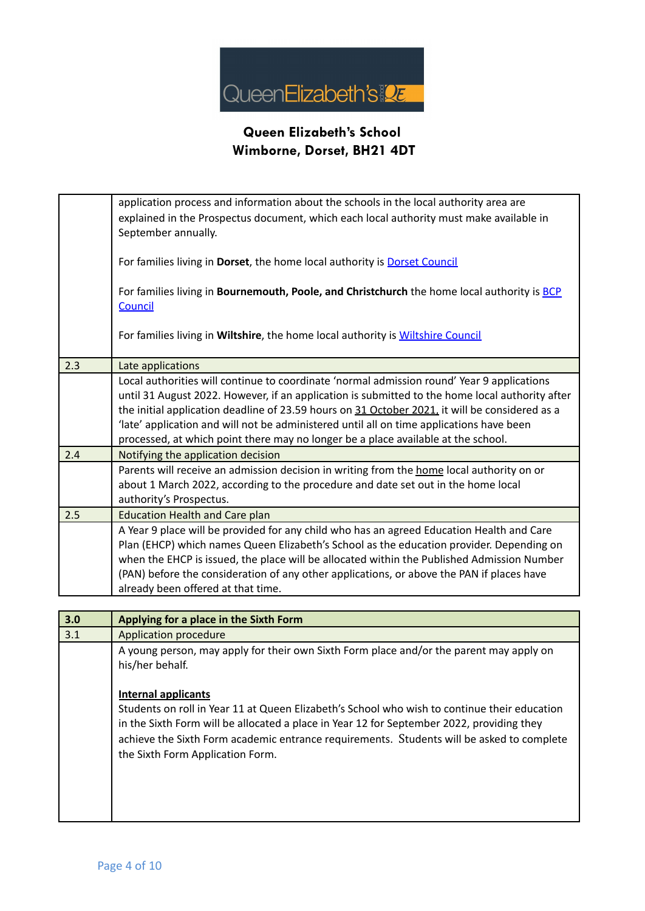

|     | application process and information about the schools in the local authority area are<br>explained in the Prospectus document, which each local authority must make available in<br>September annually.                                                                                                                                                                                                                                                                          |  |
|-----|----------------------------------------------------------------------------------------------------------------------------------------------------------------------------------------------------------------------------------------------------------------------------------------------------------------------------------------------------------------------------------------------------------------------------------------------------------------------------------|--|
|     | For families living in Dorset, the home local authority is Dorset Council                                                                                                                                                                                                                                                                                                                                                                                                        |  |
|     | For families living in Bournemouth, Poole, and Christchurch the home local authority is BCP<br>Council                                                                                                                                                                                                                                                                                                                                                                           |  |
|     | For families living in Wiltshire, the home local authority is Wiltshire Council                                                                                                                                                                                                                                                                                                                                                                                                  |  |
| 2.3 | Late applications                                                                                                                                                                                                                                                                                                                                                                                                                                                                |  |
|     | Local authorities will continue to coordinate 'normal admission round' Year 9 applications<br>until 31 August 2022. However, if an application is submitted to the home local authority after<br>the initial application deadline of 23.59 hours on 31 October 2021, it will be considered as a<br>'late' application and will not be administered until all on time applications have been<br>processed, at which point there may no longer be a place available at the school. |  |
| 2.4 | Notifying the application decision                                                                                                                                                                                                                                                                                                                                                                                                                                               |  |
|     | Parents will receive an admission decision in writing from the home local authority on or<br>about 1 March 2022, according to the procedure and date set out in the home local<br>authority's Prospectus.                                                                                                                                                                                                                                                                        |  |
| 2.5 | <b>Education Health and Care plan</b>                                                                                                                                                                                                                                                                                                                                                                                                                                            |  |
|     | A Year 9 place will be provided for any child who has an agreed Education Health and Care<br>Plan (EHCP) which names Queen Elizabeth's School as the education provider. Depending on<br>when the EHCP is issued, the place will be allocated within the Published Admission Number<br>(PAN) before the consideration of any other applications, or above the PAN if places have<br>already been offered at that time.                                                           |  |
|     |                                                                                                                                                                                                                                                                                                                                                                                                                                                                                  |  |

| 3.0 | Applying for a place in the Sixth Form                                                                                                                                                                                                                                                                                                                   |  |
|-----|----------------------------------------------------------------------------------------------------------------------------------------------------------------------------------------------------------------------------------------------------------------------------------------------------------------------------------------------------------|--|
| 3.1 | Application procedure                                                                                                                                                                                                                                                                                                                                    |  |
|     | A young person, may apply for their own Sixth Form place and/or the parent may apply on<br>his/her behalf.                                                                                                                                                                                                                                               |  |
|     | <b>Internal applicants</b><br>Students on roll in Year 11 at Queen Elizabeth's School who wish to continue their education<br>in the Sixth Form will be allocated a place in Year 12 for September 2022, providing they<br>achieve the Sixth Form academic entrance requirements. Students will be asked to complete<br>the Sixth Form Application Form. |  |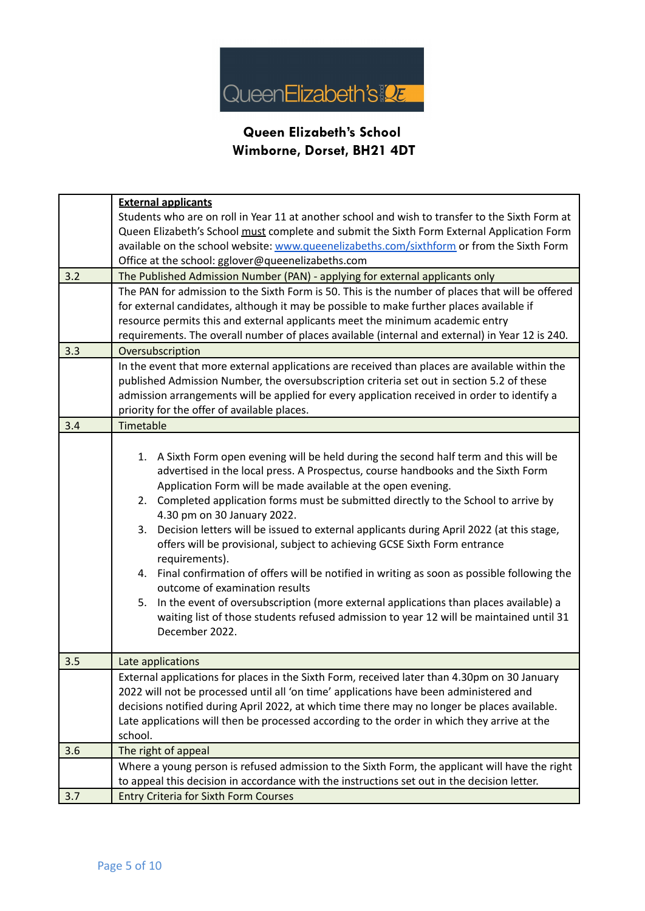

|     | <b>External applicants</b>                                                                       |  |  |  |
|-----|--------------------------------------------------------------------------------------------------|--|--|--|
|     | Students who are on roll in Year 11 at another school and wish to transfer to the Sixth Form at  |  |  |  |
|     | Queen Elizabeth's School must complete and submit the Sixth Form External Application Form       |  |  |  |
|     | available on the school website: www.queenelizabeths.com/sixthform or from the Sixth Form        |  |  |  |
|     | Office at the school: gglover@queenelizabeths.com                                                |  |  |  |
| 3.2 | The Published Admission Number (PAN) - applying for external applicants only                     |  |  |  |
|     | The PAN for admission to the Sixth Form is 50. This is the number of places that will be offered |  |  |  |
|     | for external candidates, although it may be possible to make further places available if         |  |  |  |
|     | resource permits this and external applicants meet the minimum academic entry                    |  |  |  |
|     | requirements. The overall number of places available (internal and external) in Year 12 is 240.  |  |  |  |
| 3.3 | Oversubscription                                                                                 |  |  |  |
|     | In the event that more external applications are received than places are available within the   |  |  |  |
|     | published Admission Number, the oversubscription criteria set out in section 5.2 of these        |  |  |  |
|     | admission arrangements will be applied for every application received in order to identify a     |  |  |  |
|     | priority for the offer of available places.                                                      |  |  |  |
| 3.4 | Timetable                                                                                        |  |  |  |
|     |                                                                                                  |  |  |  |
|     | 1. A Sixth Form open evening will be held during the second half term and this will be           |  |  |  |
|     | advertised in the local press. A Prospectus, course handbooks and the Sixth Form                 |  |  |  |
|     | Application Form will be made available at the open evening.                                     |  |  |  |
|     | 2. Completed application forms must be submitted directly to the School to arrive by             |  |  |  |
|     | 4.30 pm on 30 January 2022.                                                                      |  |  |  |
|     | Decision letters will be issued to external applicants during April 2022 (at this stage,<br>3.   |  |  |  |
|     | offers will be provisional, subject to achieving GCSE Sixth Form entrance                        |  |  |  |
|     | requirements).                                                                                   |  |  |  |
|     | 4. Final confirmation of offers will be notified in writing as soon as possible following the    |  |  |  |
|     | outcome of examination results                                                                   |  |  |  |
|     | In the event of oversubscription (more external applications than places available) a<br>5.      |  |  |  |
|     | waiting list of those students refused admission to year 12 will be maintained until 31          |  |  |  |
|     | December 2022.                                                                                   |  |  |  |
| 3.5 | Late applications                                                                                |  |  |  |
|     | External applications for places in the Sixth Form, received later than 4.30pm on 30 January     |  |  |  |
|     | 2022 will not be processed until all 'on time' applications have been administered and           |  |  |  |
|     | decisions notified during April 2022, at which time there may no longer be places available.     |  |  |  |
|     | Late applications will then be processed according to the order in which they arrive at the      |  |  |  |
|     | school.                                                                                          |  |  |  |
| 3.6 | The right of appeal                                                                              |  |  |  |
|     | Where a young person is refused admission to the Sixth Form, the applicant will have the right   |  |  |  |
|     | to appeal this decision in accordance with the instructions set out in the decision letter.      |  |  |  |
| 3.7 | <b>Entry Criteria for Sixth Form Courses</b>                                                     |  |  |  |
|     |                                                                                                  |  |  |  |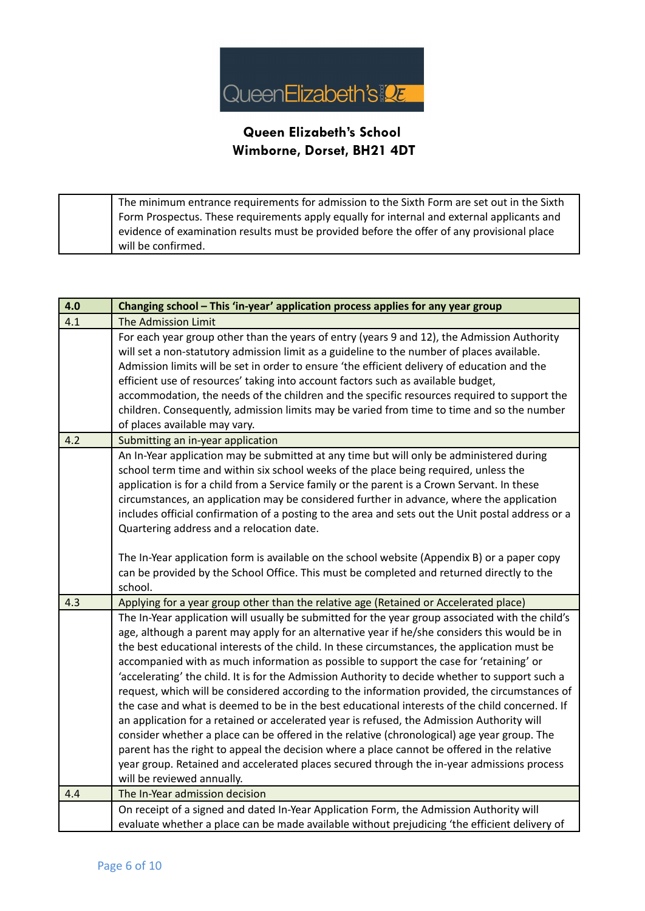

The minimum entrance requirements for admission to the Sixth Form are set out in the Sixth Form Prospectus. These requirements apply equally for internal and external applicants and evidence of examination results must be provided before the offer of any provisional place will be confirmed.

| 4.0 | Changing school - This 'in-year' application process applies for any year group                                                                                                                                                                                                                                                                                                                                                                                                                                                                                                                                                                                                                                                                                                                                                                                                                                                                                                                                                                                                                                            |  |  |
|-----|----------------------------------------------------------------------------------------------------------------------------------------------------------------------------------------------------------------------------------------------------------------------------------------------------------------------------------------------------------------------------------------------------------------------------------------------------------------------------------------------------------------------------------------------------------------------------------------------------------------------------------------------------------------------------------------------------------------------------------------------------------------------------------------------------------------------------------------------------------------------------------------------------------------------------------------------------------------------------------------------------------------------------------------------------------------------------------------------------------------------------|--|--|
| 4.1 | <b>The Admission Limit</b>                                                                                                                                                                                                                                                                                                                                                                                                                                                                                                                                                                                                                                                                                                                                                                                                                                                                                                                                                                                                                                                                                                 |  |  |
|     | For each year group other than the years of entry (years 9 and 12), the Admission Authority<br>will set a non-statutory admission limit as a guideline to the number of places available.<br>Admission limits will be set in order to ensure 'the efficient delivery of education and the<br>efficient use of resources' taking into account factors such as available budget,<br>accommodation, the needs of the children and the specific resources required to support the<br>children. Consequently, admission limits may be varied from time to time and so the number<br>of places available may vary.                                                                                                                                                                                                                                                                                                                                                                                                                                                                                                               |  |  |
| 4.2 | Submitting an in-year application                                                                                                                                                                                                                                                                                                                                                                                                                                                                                                                                                                                                                                                                                                                                                                                                                                                                                                                                                                                                                                                                                          |  |  |
|     | An In-Year application may be submitted at any time but will only be administered during<br>school term time and within six school weeks of the place being required, unless the<br>application is for a child from a Service family or the parent is a Crown Servant. In these<br>circumstances, an application may be considered further in advance, where the application<br>includes official confirmation of a posting to the area and sets out the Unit postal address or a<br>Quartering address and a relocation date.<br>The In-Year application form is available on the school website (Appendix B) or a paper copy                                                                                                                                                                                                                                                                                                                                                                                                                                                                                             |  |  |
|     | can be provided by the School Office. This must be completed and returned directly to the<br>school.                                                                                                                                                                                                                                                                                                                                                                                                                                                                                                                                                                                                                                                                                                                                                                                                                                                                                                                                                                                                                       |  |  |
| 4.3 | Applying for a year group other than the relative age (Retained or Accelerated place)                                                                                                                                                                                                                                                                                                                                                                                                                                                                                                                                                                                                                                                                                                                                                                                                                                                                                                                                                                                                                                      |  |  |
|     | The In-Year application will usually be submitted for the year group associated with the child's<br>age, although a parent may apply for an alternative year if he/she considers this would be in<br>the best educational interests of the child. In these circumstances, the application must be<br>accompanied with as much information as possible to support the case for 'retaining' or<br>'accelerating' the child. It is for the Admission Authority to decide whether to support such a<br>request, which will be considered according to the information provided, the circumstances of<br>the case and what is deemed to be in the best educational interests of the child concerned. If<br>an application for a retained or accelerated year is refused, the Admission Authority will<br>consider whether a place can be offered in the relative (chronological) age year group. The<br>parent has the right to appeal the decision where a place cannot be offered in the relative<br>year group. Retained and accelerated places secured through the in-year admissions process<br>will be reviewed annually. |  |  |
| 4.4 | The In-Year admission decision                                                                                                                                                                                                                                                                                                                                                                                                                                                                                                                                                                                                                                                                                                                                                                                                                                                                                                                                                                                                                                                                                             |  |  |
|     | On receipt of a signed and dated In-Year Application Form, the Admission Authority will<br>evaluate whether a place can be made available without prejudicing 'the efficient delivery of                                                                                                                                                                                                                                                                                                                                                                                                                                                                                                                                                                                                                                                                                                                                                                                                                                                                                                                                   |  |  |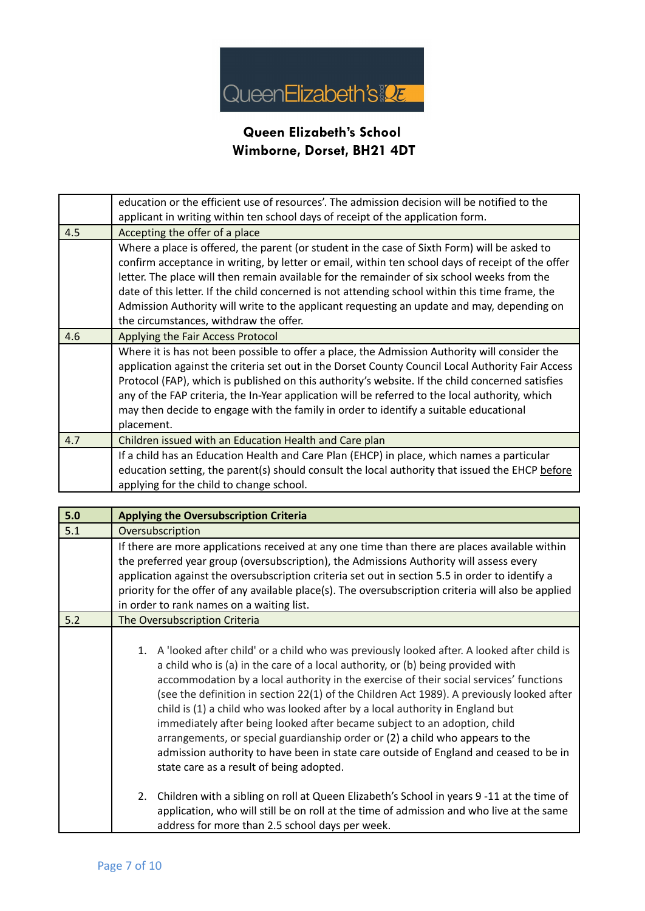

|     | education or the efficient use of resources'. The admission decision will be notified to the<br>applicant in writing within ten school days of receipt of the application form.                                                                                                                                                                                                                                                                                                                                                             |  |
|-----|---------------------------------------------------------------------------------------------------------------------------------------------------------------------------------------------------------------------------------------------------------------------------------------------------------------------------------------------------------------------------------------------------------------------------------------------------------------------------------------------------------------------------------------------|--|
| 4.5 | Accepting the offer of a place                                                                                                                                                                                                                                                                                                                                                                                                                                                                                                              |  |
|     | Where a place is offered, the parent (or student in the case of Sixth Form) will be asked to<br>confirm acceptance in writing, by letter or email, within ten school days of receipt of the offer<br>letter. The place will then remain available for the remainder of six school weeks from the<br>date of this letter. If the child concerned is not attending school within this time frame, the<br>Admission Authority will write to the applicant requesting an update and may, depending on<br>the circumstances, withdraw the offer. |  |
| 4.6 | Applying the Fair Access Protocol                                                                                                                                                                                                                                                                                                                                                                                                                                                                                                           |  |
|     | Where it is has not been possible to offer a place, the Admission Authority will consider the<br>application against the criteria set out in the Dorset County Council Local Authority Fair Access<br>Protocol (FAP), which is published on this authority's website. If the child concerned satisfies<br>any of the FAP criteria, the In-Year application will be referred to the local authority, which<br>may then decide to engage with the family in order to identify a suitable educational<br>placement.                            |  |
| 4.7 | Children issued with an Education Health and Care plan                                                                                                                                                                                                                                                                                                                                                                                                                                                                                      |  |
|     | If a child has an Education Health and Care Plan (EHCP) in place, which names a particular<br>education setting, the parent(s) should consult the local authority that issued the EHCP before<br>applying for the child to change school.                                                                                                                                                                                                                                                                                                   |  |

| 5.0 | <b>Applying the Oversubscription Criteria</b>                                                                                                                                                                                                                                                                                                                                                                                                                                                                                                                                                                                                                                                                                                                  |  |  |
|-----|----------------------------------------------------------------------------------------------------------------------------------------------------------------------------------------------------------------------------------------------------------------------------------------------------------------------------------------------------------------------------------------------------------------------------------------------------------------------------------------------------------------------------------------------------------------------------------------------------------------------------------------------------------------------------------------------------------------------------------------------------------------|--|--|
| 5.1 | Oversubscription                                                                                                                                                                                                                                                                                                                                                                                                                                                                                                                                                                                                                                                                                                                                               |  |  |
|     | If there are more applications received at any one time than there are places available within<br>the preferred year group (oversubscription), the Admissions Authority will assess every<br>application against the oversubscription criteria set out in section 5.5 in order to identify a<br>priority for the offer of any available place(s). The oversubscription criteria will also be applied<br>in order to rank names on a waiting list.                                                                                                                                                                                                                                                                                                              |  |  |
| 5.2 | The Oversubscription Criteria                                                                                                                                                                                                                                                                                                                                                                                                                                                                                                                                                                                                                                                                                                                                  |  |  |
|     | A 'looked after child' or a child who was previously looked after. A looked after child is<br>1.<br>a child who is (a) in the care of a local authority, or (b) being provided with<br>accommodation by a local authority in the exercise of their social services' functions<br>(see the definition in section 22(1) of the Children Act 1989). A previously looked after<br>child is (1) a child who was looked after by a local authority in England but<br>immediately after being looked after became subject to an adoption, child<br>arrangements, or special guardianship order or (2) a child who appears to the<br>admission authority to have been in state care outside of England and ceased to be in<br>state care as a result of being adopted. |  |  |
|     | Children with a sibling on roll at Queen Elizabeth's School in years 9-11 at the time of<br>2.<br>application, who will still be on roll at the time of admission and who live at the same<br>address for more than 2.5 school days per week.                                                                                                                                                                                                                                                                                                                                                                                                                                                                                                                  |  |  |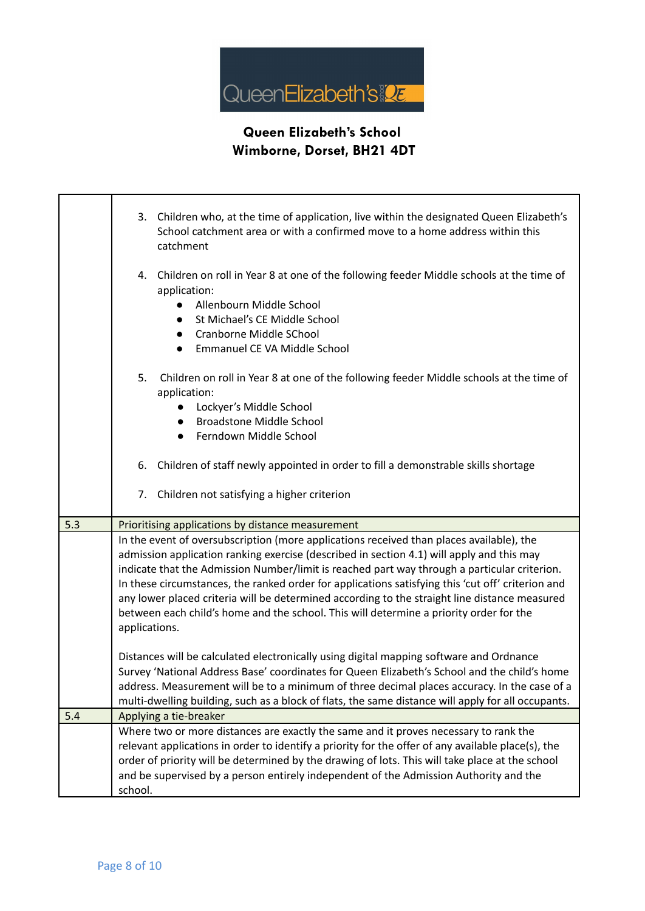

|     | 3. Children who, at the time of application, live within the designated Queen Elizabeth's<br>School catchment area or with a confirmed move to a home address within this<br>catchment                                                                                                                                                                                                                                                                                                                                                                                                                 |  |
|-----|--------------------------------------------------------------------------------------------------------------------------------------------------------------------------------------------------------------------------------------------------------------------------------------------------------------------------------------------------------------------------------------------------------------------------------------------------------------------------------------------------------------------------------------------------------------------------------------------------------|--|
|     | 4. Children on roll in Year 8 at one of the following feeder Middle schools at the time of<br>application:<br>Allenbourn Middle School<br>$\bullet$<br>St Michael's CE Middle School<br>$\bullet$<br>Cranborne Middle SChool<br>$\bullet$<br>Emmanuel CE VA Middle School                                                                                                                                                                                                                                                                                                                              |  |
|     | 5.<br>Children on roll in Year 8 at one of the following feeder Middle schools at the time of<br>application:<br>Lockyer's Middle School<br><b>Broadstone Middle School</b><br>Ferndown Middle School<br>$\bullet$                                                                                                                                                                                                                                                                                                                                                                                     |  |
|     | 6. Children of staff newly appointed in order to fill a demonstrable skills shortage                                                                                                                                                                                                                                                                                                                                                                                                                                                                                                                   |  |
|     | 7. Children not satisfying a higher criterion                                                                                                                                                                                                                                                                                                                                                                                                                                                                                                                                                          |  |
| 5.3 | Prioritising applications by distance measurement                                                                                                                                                                                                                                                                                                                                                                                                                                                                                                                                                      |  |
|     | In the event of oversubscription (more applications received than places available), the<br>admission application ranking exercise (described in section 4.1) will apply and this may<br>indicate that the Admission Number/limit is reached part way through a particular criterion.<br>In these circumstances, the ranked order for applications satisfying this 'cut off' criterion and<br>any lower placed criteria will be determined according to the straight line distance measured<br>between each child's home and the school. This will determine a priority order for the<br>applications. |  |
|     | Distances will be calculated electronically using digital mapping software and Ordnance<br>Survey 'National Address Base' coordinates for Queen Elizabeth's School and the child's home<br>address. Measurement will be to a minimum of three decimal places accuracy. In the case of a<br>multi-dwelling building, such as a block of flats, the same distance will apply for all occupants.                                                                                                                                                                                                          |  |
| 5.4 | Applying a tie-breaker                                                                                                                                                                                                                                                                                                                                                                                                                                                                                                                                                                                 |  |
|     | Where two or more distances are exactly the same and it proves necessary to rank the<br>relevant applications in order to identify a priority for the offer of any available place(s), the<br>order of priority will be determined by the drawing of lots. This will take place at the school<br>and be supervised by a person entirely independent of the Admission Authority and the<br>school.                                                                                                                                                                                                      |  |

 $\Gamma$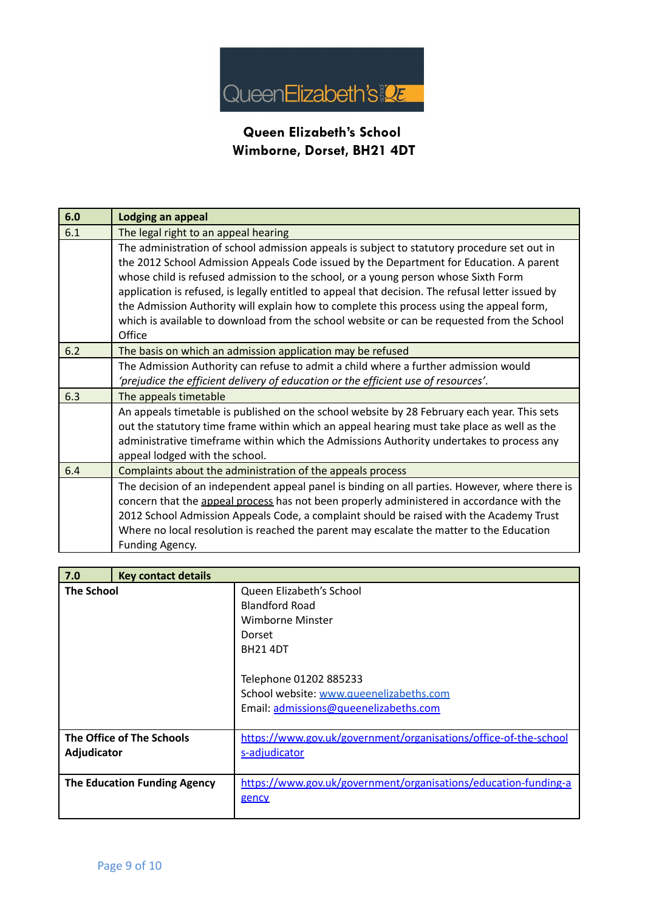

| 6.0 | Lodging an appeal                                                                                                                                                                                                                                                                                                                                                                                                                                                                                                                                                                     |  |  |
|-----|---------------------------------------------------------------------------------------------------------------------------------------------------------------------------------------------------------------------------------------------------------------------------------------------------------------------------------------------------------------------------------------------------------------------------------------------------------------------------------------------------------------------------------------------------------------------------------------|--|--|
| 6.1 | The legal right to an appeal hearing                                                                                                                                                                                                                                                                                                                                                                                                                                                                                                                                                  |  |  |
|     | The administration of school admission appeals is subject to statutory procedure set out in<br>the 2012 School Admission Appeals Code issued by the Department for Education. A parent<br>whose child is refused admission to the school, or a young person whose Sixth Form<br>application is refused, is legally entitled to appeal that decision. The refusal letter issued by<br>the Admission Authority will explain how to complete this process using the appeal form,<br>which is available to download from the school website or can be requested from the School<br>Office |  |  |
| 6.2 | The basis on which an admission application may be refused                                                                                                                                                                                                                                                                                                                                                                                                                                                                                                                            |  |  |
|     | The Admission Authority can refuse to admit a child where a further admission would<br>'prejudice the efficient delivery of education or the efficient use of resources'.                                                                                                                                                                                                                                                                                                                                                                                                             |  |  |
| 6.3 | The appeals timetable                                                                                                                                                                                                                                                                                                                                                                                                                                                                                                                                                                 |  |  |
|     | An appeals timetable is published on the school website by 28 February each year. This sets<br>out the statutory time frame within which an appeal hearing must take place as well as the<br>administrative timeframe within which the Admissions Authority undertakes to process any<br>appeal lodged with the school.                                                                                                                                                                                                                                                               |  |  |
| 6.4 | Complaints about the administration of the appeals process                                                                                                                                                                                                                                                                                                                                                                                                                                                                                                                            |  |  |
|     | The decision of an independent appeal panel is binding on all parties. However, where there is<br>concern that the appeal process has not been properly administered in accordance with the<br>2012 School Admission Appeals Code, a complaint should be raised with the Academy Trust<br>Where no local resolution is reached the parent may escalate the matter to the Education<br>Funding Agency.                                                                                                                                                                                 |  |  |

| 7.0               | <b>Key contact details</b>   |                                                                                                                                                                                                           |
|-------------------|------------------------------|-----------------------------------------------------------------------------------------------------------------------------------------------------------------------------------------------------------|
| <b>The School</b> |                              | Queen Elizabeth's School<br>Blandford Road<br>Wimborne Minster<br>Dorset<br><b>BH21 4DT</b><br>Telephone 01202 885233<br>School website: www.queenelizabeths.com<br>Email: admissions@queenelizabeths.com |
| Adjudicator       | The Office of The Schools    | https://www.gov.uk/government/organisations/office-of-the-school<br>s-adjudicator                                                                                                                         |
|                   | The Education Funding Agency | https://www.gov.uk/government/organisations/education-funding-a<br>gency                                                                                                                                  |